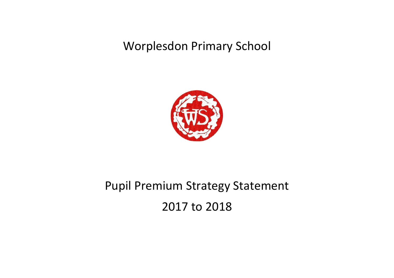Worplesdon Primary School



# Pupil Premium Strategy Statement 2017 to 2018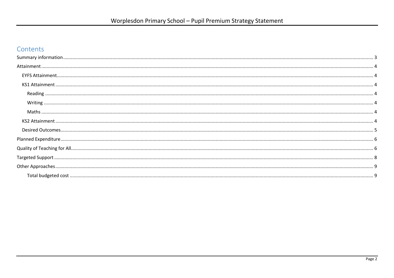### Contents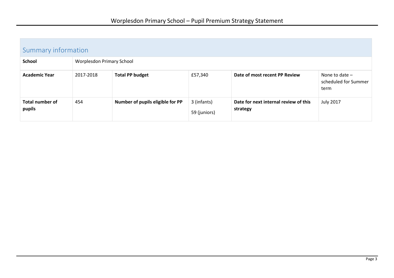<span id="page-2-0"></span>

| Summary information              |                           |                                  |                             |                                                   |                                                  |  |
|----------------------------------|---------------------------|----------------------------------|-----------------------------|---------------------------------------------------|--------------------------------------------------|--|
| <b>School</b>                    | Worplesdon Primary School |                                  |                             |                                                   |                                                  |  |
| <b>Academic Year</b>             | 2017-2018                 | <b>Total PP budget</b>           | £57,340                     | Date of most recent PP Review                     | None to date $-$<br>scheduled for Summer<br>term |  |
| <b>Total number of</b><br>pupils | 454                       | Number of pupils eligible for PP | 3 (infants)<br>59 (juniors) | Date for next internal review of this<br>strategy | <b>July 2017</b>                                 |  |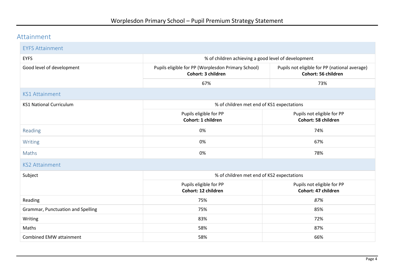## <span id="page-3-0"></span>Attainment

<span id="page-3-6"></span><span id="page-3-5"></span><span id="page-3-4"></span><span id="page-3-3"></span><span id="page-3-2"></span><span id="page-3-1"></span>

| <b>EYFS Attainment</b>                                                      |                                                                          |                                                                      |  |  |  |
|-----------------------------------------------------------------------------|--------------------------------------------------------------------------|----------------------------------------------------------------------|--|--|--|
| <b>EYFS</b>                                                                 | % of children achieving a good level of development                      |                                                                      |  |  |  |
| Good level of development                                                   | Pupils eligible for PP (Worplesdon Primary School)<br>Cohort: 3 children | Pupils not eligible for PP (national average)<br>Cohort: 56 children |  |  |  |
|                                                                             | 67%                                                                      | 73%                                                                  |  |  |  |
| <b>KS1 Attainment</b>                                                       |                                                                          |                                                                      |  |  |  |
| % of children met end of KS1 expectations<br><b>KS1 National Curriculum</b> |                                                                          |                                                                      |  |  |  |
|                                                                             | Pupils eligible for PP<br>Cohort: 1 children                             | Pupils not eligible for PP<br>Cohort: 58 children                    |  |  |  |
| Reading                                                                     | 0%                                                                       | 74%                                                                  |  |  |  |
| Writing                                                                     | 0%                                                                       | 67%                                                                  |  |  |  |
| Maths                                                                       | 0%                                                                       | 78%                                                                  |  |  |  |
| <b>KS2 Attainment</b>                                                       |                                                                          |                                                                      |  |  |  |
| Subject                                                                     | % of children met end of KS2 expectations                                |                                                                      |  |  |  |
|                                                                             | Pupils eligible for PP<br>Cohort: 12 children                            | Pupils not eligible for PP<br>Cohort: 47 children                    |  |  |  |
| Reading                                                                     | 75%                                                                      | 87%                                                                  |  |  |  |
| <b>Grammar, Punctuation and Spelling</b>                                    | 75%                                                                      | 85%                                                                  |  |  |  |
| Writing                                                                     | 83%                                                                      | 72%                                                                  |  |  |  |
| Maths                                                                       | 58%                                                                      | 87%                                                                  |  |  |  |
| <b>Combined EMW attainment</b>                                              | 58%                                                                      | 66%                                                                  |  |  |  |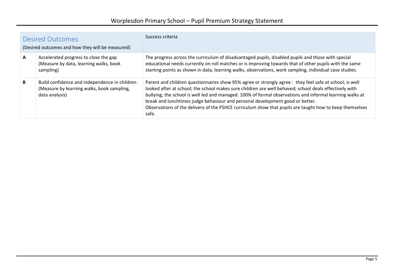<span id="page-4-0"></span>

|              | <b>Desired Outcomes</b><br>(Desired outcomes and how they will be measured)                                   | Success criteria                                                                                                                                                                                                                                                                                                                                                                                                                                                                                                                   |
|--------------|---------------------------------------------------------------------------------------------------------------|------------------------------------------------------------------------------------------------------------------------------------------------------------------------------------------------------------------------------------------------------------------------------------------------------------------------------------------------------------------------------------------------------------------------------------------------------------------------------------------------------------------------------------|
| $\mathbf{A}$ | Accelerated progress to close the gap<br>(Measure by data, learning walks, book<br>sampling)                  | The progress across the curriculum of disadvantaged pupils, disabled pupils and those with special<br>educational needs currently on roll matches or is improving towards that of other pupils with the same<br>starting points as shown in data, learning walks, observations, work sampling, individual case studies.                                                                                                                                                                                                            |
| B            | Build confidence and independence in children<br>(Measure by learning walks, book sampling,<br>data analysis) | Parent and children questionnaires show 95% agree or strongly agree : they feel safe at school; is well<br>looked after at school; the school makes sure children are well behaved; school deals effectively with<br>bullying; the school is well led and managed. 100% of formal observations and informal learning walks at<br>break and lunchtimes judge behaviour and personal development good or better.<br>Observations of the delivery of the PSHCE curriculum show that pupils are taught how to keep themselves<br>safe. |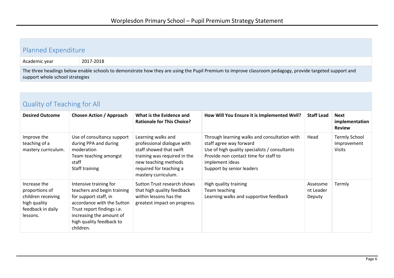#### <span id="page-5-0"></span>Planned Expenditure

Academic year 2017-2018

high quality feedback in daily

lessons.

accordance with the Sutton Trust report findings i.e. increasing the amount of high quality feedback to

children.

The three headings below enable schools to demonstrate how they are using the Pupil Premium to improve classroom pedagogy, provide targeted support and support whole school strategies

#### <span id="page-5-1"></span>Quality of Teaching for All **Desired Outcome Chosen Action / Approach What is the Evidence and Rationale for This Choice? How Will You Ensure it is Implemented Well? Staff Lead Next**  Improve the teaching of a mastery curriculum. Use of consultancy support during PPA and during moderation Team teaching amongst staff Staff training Learning walks and professional dialogue with staff showed that swift training was required in the new teaching methods required for teaching a mastery curriculum. Through learning walks and consultation with staff agree way forward Use of high quality specialists / consultants Provide non contact time for staff to implement ideas Support by senior leaders Increase the proportions of children receiving Intensive training for teachers and begin training for support staff, in Sutton Trust research shows that high quality feedback within lessons has the High quality training Team teaching Learning walks and supportive feedback

greatest impact on progress.

**implementation** 

Improvement

**Review** 

Head Termly School

Assessme nt Leader Deputy

Visits

Termly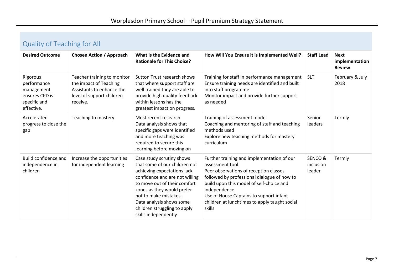# Quality of Teaching for All

| <b>Desired Outcome</b>                                                                | <b>Chosen Action / Approach</b>                                                                                             | What is the Evidence and<br><b>Rationale for This Choice?</b>                                                                                                                                                                                                                                          | How Will You Ensure it is Implemented Well?                                                                                                                                                                                                                                                                                | <b>Staff Lead</b>             | <b>Next</b><br>implementation<br><b>Review</b> |
|---------------------------------------------------------------------------------------|-----------------------------------------------------------------------------------------------------------------------------|--------------------------------------------------------------------------------------------------------------------------------------------------------------------------------------------------------------------------------------------------------------------------------------------------------|----------------------------------------------------------------------------------------------------------------------------------------------------------------------------------------------------------------------------------------------------------------------------------------------------------------------------|-------------------------------|------------------------------------------------|
| Rigorous<br>performance<br>management<br>ensures CPD is<br>specific and<br>effective. | Teacher training to monitor<br>the impact of Teaching<br>Assistants to enhance the<br>level of support children<br>receive. | Sutton Trust research shows<br>that where support staff are<br>well trained they are able to<br>provide high quality feedback<br>within lessons has the<br>greatest impact on progress.                                                                                                                | Training for staff in performance management<br>Ensure training needs are identified and built<br>into staff programme<br>Monitor impact and provide further support<br>as needed                                                                                                                                          | <b>SLT</b>                    | February & July<br>2018                        |
| Accelerated<br>progress to close the<br>gap                                           | Teaching to mastery                                                                                                         | Most recent research<br>Data analysis shows that<br>specific gaps were identified<br>and more teaching was<br>required to secure this<br>learning before moving on                                                                                                                                     | Training of assessment model<br>Coaching and mentoring of staff and teaching<br>methods used<br>Explore new teaching methods for mastery<br>curriculum                                                                                                                                                                     | Senior<br>leaders             | Termly                                         |
| Build confidence and<br>independence in<br>children                                   | Increase the opportunities<br>for independent learning                                                                      | Case study scrutiny shows<br>that some of our children not<br>achieving expectations lack<br>confidence and are not willing<br>to move out of their comfort<br>zones as they would prefer<br>not to make mistakes.<br>Data analysis shows some<br>children struggling to apply<br>skills independently | Further training and implementation of our<br>assessment tool.<br>Peer observations of reception classes<br>followed by professional dialogue of how to<br>build upon this model of self-choice and<br>independence.<br>Use of House Captains to support infant<br>children at lunchtimes to apply taught social<br>skills | SENCO&<br>inclusion<br>leader | Termly                                         |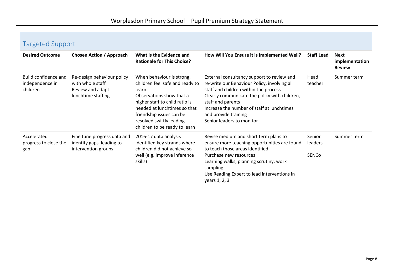<span id="page-7-0"></span>

| <b>Targeted Support</b> |  |
|-------------------------|--|
|-------------------------|--|

| . 9.7                                               |                                                                                          |                                                                                                                                                                                                                                                              |                                                                                                                                                                                                                                                                                                              |                            |                                                |  |
|-----------------------------------------------------|------------------------------------------------------------------------------------------|--------------------------------------------------------------------------------------------------------------------------------------------------------------------------------------------------------------------------------------------------------------|--------------------------------------------------------------------------------------------------------------------------------------------------------------------------------------------------------------------------------------------------------------------------------------------------------------|----------------------------|------------------------------------------------|--|
| <b>Desired Outcome</b>                              | <b>Chosen Action / Approach</b>                                                          | What is the Evidence and<br><b>Rationale for This Choice?</b>                                                                                                                                                                                                | How Will You Ensure it is Implemented Well?                                                                                                                                                                                                                                                                  | <b>Staff Lead</b>          | <b>Next</b><br>implementation<br><b>Review</b> |  |
| Build confidence and<br>independence in<br>children | Re-design behaviour policy<br>with whole staff<br>Review and adapt<br>lunchtime staffing | When behaviour is strong,<br>children feel safe and ready to<br>learn<br>Observations show that a<br>higher staff to child ratio is<br>needed at lunchtimes so that<br>friendship issues can be<br>resolved swiftly leading<br>children to be ready to learn | External consultancy support to review and<br>re-write our Behaviour Policy, involving all<br>staff and children within the process<br>Clearly communicate the policy with children,<br>staff and parents<br>Increase the number of staff at lunchtimes<br>and provide training<br>Senior leaders to monitor | Head<br>teacher            | Summer term                                    |  |
| Accelerated<br>progress to close the<br>gap         | Fine tune progress data and<br>identify gaps, leading to<br>intervention groups          | 2016-17 data analysis<br>identified key strands where<br>children did not achieve so<br>well (e.g. improve inference<br>skills)                                                                                                                              | Revise medium and short term plans to<br>ensure more teaching opportunities are found<br>to teach those areas identified.<br>Purchase new resources<br>Learning walks, planning scrutiny, work<br>sampling.<br>Use Reading Expert to lead interventions in<br>years 1, 2, 3                                  | Senior<br>leaders<br>SENCo | Summer term                                    |  |